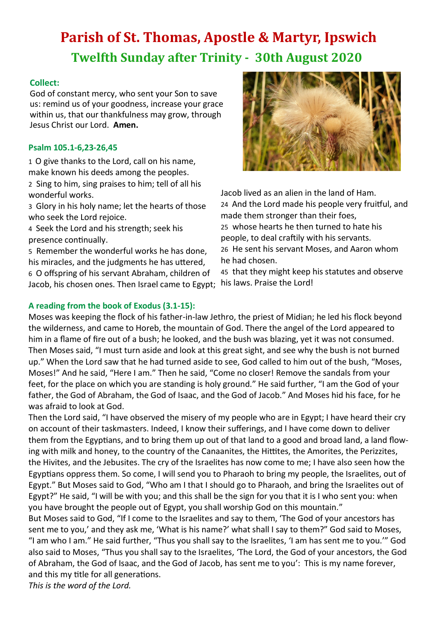# **Parish of St. Thomas, Apostle & Martyr, Ipswich Twelfth Sunday after Trinity - 30th August 2020**

## **Collect:**

God of constant mercy, who sent your Son to save us: remind us of your goodness, increase your grace within us, that our thankfulness may grow, through Jesus Christ our Lord. **Amen.**

### **Psalm 105.1-6,23-26,45**

1 O give thanks to the Lord, call on his name, make known his deeds among the peoples.

2 Sing to him, sing praises to him; tell of all his wonderful works.

3 Glory in his holy name; let the hearts of those who seek the Lord rejoice.

4 Seek the Lord and his strength; seek his presence continually.

5 Remember the wonderful works he has done, his miracles, and the judgments he has uttered,

6 O offspring of his servant Abraham, children of Jacob, his chosen ones. Then Israel came to Egypt;



Jacob lived as an alien in the land of Ham. 24 And the Lord made his people very fruitful, and made them stronger than their foes, 25 whose hearts he then turned to hate his people, to deal craftily with his servants. 26 He sent his servant Moses, and Aaron whom he had chosen.

45 that they might keep his statutes and observe his laws. Praise the Lord!

## **A reading from the book of Exodus (3.1-15):**

Moses was keeping the flock of his father-in-law Jethro, the priest of Midian; he led his flock beyond the wilderness, and came to Horeb, the mountain of God. There the angel of the Lord appeared to him in a flame of fire out of a bush; he looked, and the bush was blazing, yet it was not consumed. Then Moses said, "I must turn aside and look at this great sight, and see why the bush is not burned up." When the Lord saw that he had turned aside to see, God called to him out of the bush, "Moses, Moses!" And he said, "Here I am." Then he said, "Come no closer! Remove the sandals from your feet, for the place on which you are standing is holy ground." He said further, "I am the God of your father, the God of Abraham, the God of Isaac, and the God of Jacob." And Moses hid his face, for he was afraid to look at God.

Then the Lord said, "I have observed the misery of my people who are in Egypt; I have heard their cry on account of their taskmasters. Indeed, I know their sufferings, and I have come down to deliver them from the Egyptians, and to bring them up out of that land to a good and broad land, a land flowing with milk and honey, to the country of the Canaanites, the Hittites, the Amorites, the Perizzites, the Hivites, and the Jebusites. The cry of the Israelites has now come to me; I have also seen how the Egyptians oppress them. So come, I will send you to Pharaoh to bring my people, the Israelites, out of Egypt." But Moses said to God, "Who am I that I should go to Pharaoh, and bring the Israelites out of Egypt?" He said, "I will be with you; and this shall be the sign for you that it is I who sent you: when you have brought the people out of Egypt, you shall worship God on this mountain."

But Moses said to God, "If I come to the Israelites and say to them, 'The God of your ancestors has sent me to you,' and they ask me, 'What is his name?' what shall I say to them?" God said to Moses, "I am who I am." He said further, "Thus you shall say to the Israelites, 'I am has sent me to you.'" God also said to Moses, "Thus you shall say to the Israelites, 'The Lord, the God of your ancestors, the God of Abraham, the God of Isaac, and the God of Jacob, has sent me to you': This is my name forever, and this my title for all generations.

*This is the word of the Lord.*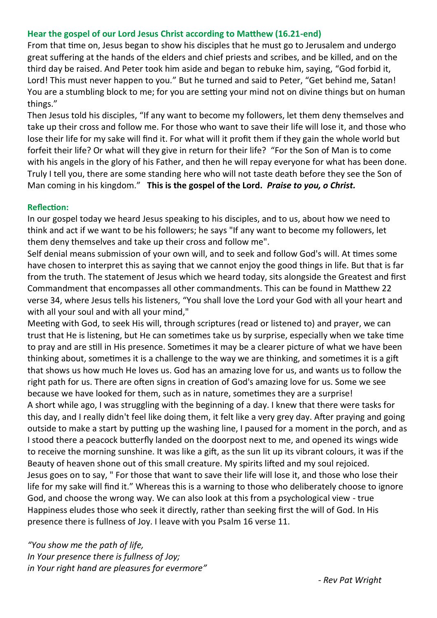## **Hear the gospel of our Lord Jesus Christ according to Matthew (16.21-end)**

From that time on, Jesus began to show his disciples that he must go to Jerusalem and undergo great suffering at the hands of the elders and chief priests and scribes, and be killed, and on the third day be raised. And Peter took him aside and began to rebuke him, saying, "God forbid it, Lord! This must never happen to you." But he turned and said to Peter, "Get behind me, Satan! You are a stumbling block to me; for you are setting your mind not on divine things but on human things."

Then Jesus told his disciples, "If any want to become my followers, let them deny themselves and take up their cross and follow me. For those who want to save their life will lose it, and those who lose their life for my sake will find it. For what will it profit them if they gain the whole world but forfeit their life? Or what will they give in return for their life? "For the Son of Man is to come with his angels in the glory of his Father, and then he will repay everyone for what has been done. Truly I tell you, there are some standing here who will not taste death before they see the Son of Man coming in his kingdom." **This is the gospel of the Lord.** *Praise to you, o Christ.*

#### **Reflection:**

In our gospel today we heard Jesus speaking to his disciples, and to us, about how we need to think and act if we want to be his followers; he says "If any want to become my followers, let them deny themselves and take up their cross and follow me".

Self denial means submission of your own will, and to seek and follow God's will. At times some have chosen to interpret this as saying that we cannot enjoy the good things in life. But that is far from the truth. The statement of Jesus which we heard today, sits alongside the Greatest and first Commandment that encompasses all other commandments. This can be found in Matthew 22 verse 34, where Jesus tells his listeners, "You shall love the Lord your God with all your heart and with all your soul and with all your mind,"

Meeting with God, to seek His will, through scriptures (read or listened to) and prayer, we can trust that He is listening, but He can sometimes take us by surprise, especially when we take time to pray and are still in His presence. Sometimes it may be a clearer picture of what we have been thinking about, sometimes it is a challenge to the way we are thinking, and sometimes it is a gift that shows us how much He loves us. God has an amazing love for us, and wants us to follow the right path for us. There are often signs in creation of God's amazing love for us. Some we see because we have looked for them, such as in nature, sometimes they are a surprise! A short while ago, I was struggling with the beginning of a day. I knew that there were tasks for this day, and I really didn't feel like doing them, it felt like a very grey day. After praying and going outside to make a start by putting up the washing line, I paused for a moment in the porch, and as I stood there a peacock butterfly landed on the doorpost next to me, and opened its wings wide to receive the morning sunshine. It was like a gift, as the sun lit up its vibrant colours, it was if the Beauty of heaven shone out of this small creature. My spirits lifted and my soul rejoiced. Jesus goes on to say, " For those that want to save their life will lose it, and those who lose their life for my sake will find it." Whereas this is a warning to those who deliberately choose to ignore God, and choose the wrong way. We can also look at this from a psychological view - true Happiness eludes those who seek it directly, rather than seeking first the will of God. In His presence there is fullness of Joy. I leave with you Psalm 16 verse 11.

*"You show me the path of life, In Your presence there is fullness of Joy; in Your right hand are pleasures for evermore"*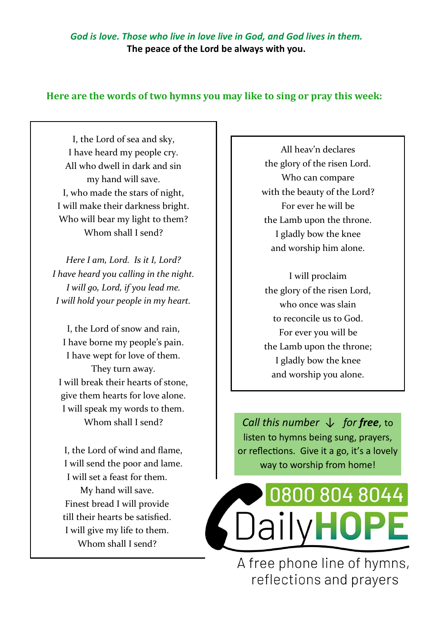*God is love. Those who live in love live in God, and God lives in them.*  **The peace of the Lord be always with you.**

## **Here are the words of two hymns you may like to sing or pray this week:**

I, the Lord of sea and sky, I have heard my people cry. All who dwell in dark and sin my hand will save. I, who made the stars of night, I will make their darkness bright. Who will bear my light to them? Whom shall I send?

*Here I am, Lord. Is it I, Lord? I have heard you calling in the night. I will go, Lord, if you lead me. I will hold your people in my heart.*

I, the Lord of snow and rain, I have borne my people's pain. I have wept for love of them. They turn away. I will break their hearts of stone, give them hearts for love alone. I will speak my words to them. Whom shall I send?

I, the Lord of wind and flame, I will send the poor and lame. I will set a feast for them. My hand will save. Finest bread I will provide till their hearts be satisfied. I will give my life to them. Whom shall I send?

All heav'n declares the glory of the risen Lord. Who can compare with the beauty of the Lord? For ever he will be the Lamb upon the throne. I gladly bow the knee and worship him alone.

I will proclaim the glory of the risen Lord, who once was slain to reconcile us to God. For ever you will be the Lamb upon the throne; I gladly bow the knee and worship you alone.

*Call this number* ↓ *for free*, to listen to hymns being sung, prayers, or reflections. Give it a go, it's a lovely way to worship from home!



A free phone line of hymns, reflections and prayers